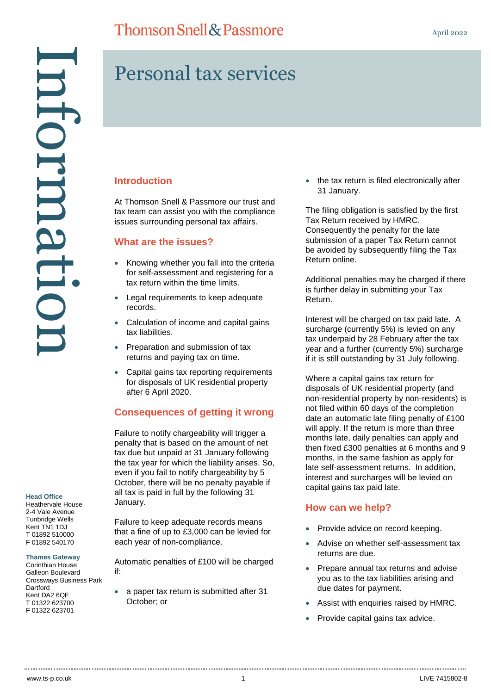## **Thomson Snell & Passmore**

# Personal tax services

## **Introduction**

At Thomson Snell & Passmore our trust and tax team can assist you with the compliance issues surrounding personal tax affairs.

## **What are the issues?**

- Knowing whether you fall into the criteria for self-assessment and registering for a tax return within the time limits.
- Legal requirements to keep adequate records.
- Calculation of income and capital gains tax liabilities.
- Preparation and submission of tax returns and paying tax on time.
- Capital gains tax reporting requirements for disposals of UK residential property after 6 April 2020.

## **Consequences of getting it wrong**

Failure to notify chargeability will trigger a penalty that is based on the amount of net tax due but unpaid at 31 January following the tax year for which the liability arises. So, even if you fail to notify chargeability by 5 October, there will be no penalty payable if all tax is paid in full by the following 31 January.

Failure to keep adequate records means that a fine of up to £3,000 can be levied for each year of non-compliance.

Automatic penalties of £100 will be charged if:

• a paper tax return is submitted after 31 October; or

• the tax return is filed electronically after 31 January.

The filing obligation is satisfied by the first Tax Return received by HMRC. Consequently the penalty for the late submission of a paper Tax Return cannot be avoided by subsequently filing the Tax Return online.

Additional penalties may be charged if there is further delay in submitting your Tax Return.

Interest will be charged on tax paid late. A surcharge (currently 5%) is levied on any tax underpaid by 28 February after the tax year and a further (currently 5%) surcharge if it is still outstanding by 31 July following.

Where a capital gains tax return for disposals of UK residential property (and non-residential property by non-residents) is not filed within 60 days of the completion date an automatic late filing penalty of £100 will apply. If the return is more than three months late, daily penalties can apply and then fixed £300 penalties at 6 months and 9 months, in the same fashion as apply for late self-assessment returns. In addition, interest and surcharges will be levied on capital gains tax paid late.

## **How can we help?**

- Provide advice on record keeping.
- Advise on whether self-assessment tax returns are due.
- Prepare annual tax returns and advise you as to the tax liabilities arising and due dates for payment.
- Assist with enquiries raised by HMRC.
- Provide capital gains tax advice.

#### **Head Office**

Heathervale House 2-4 Vale Avenue Tunbridge Wells Kent TN1 1DJ T 01892 510000 F 01892 540170

#### **Thames Gateway**

Corinthian House Galleon Boulevard Crossways Business Park **Dartford** Kent DA2 6QE T 01322 623700